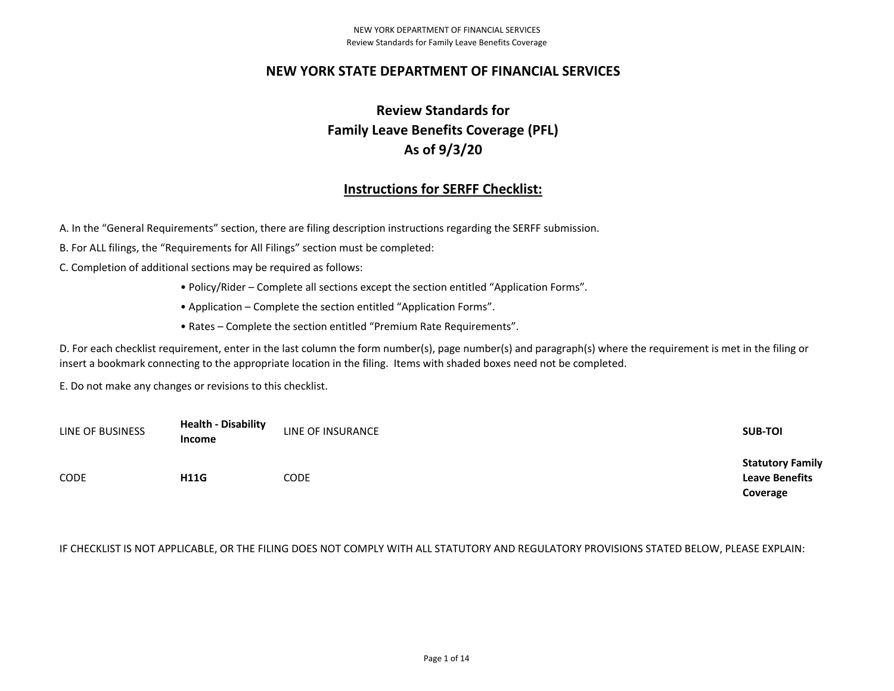### **NEW YORK STATE DEPARTMENT OF FINANCIAL SERVICES**

# **Review Standards for Family Leave Benefits Coverage (PFL) As of 9/3/20**

## **Instructions for SERFF Checklist:**

A. In the "General Requirements" section, there are filing description instructions regarding the SERFF submission.

B. For ALL filings, the "Requirements for All Filings" section must be completed:

C. Completion of additional sections may be required as follows:

- Policy/Rider Complete all sections except the section entitled "Application Forms".
- Application Complete the section entitled "Application Forms".
- Rates Complete the section entitled "Premium Rate Requirements".

D. For each checklist requirement, enter in the last column the form number(s), page number(s) and paragraph(s) where the requirement is met in the filing or insert a bookmark connecting to the appropriate location in the filing. Items with shaded boxes need not be completed.

E. Do not make any changes or revisions to this checklist.

| LINE OF BUSINESS | <b>Health - Disability</b><br><b>Income</b> | LINE OF INSURANCE | <b>SUB-TOI</b>                                               |
|------------------|---------------------------------------------|-------------------|--------------------------------------------------------------|
| <b>CODE</b>      | <b>H11G</b>                                 | CODE              | <b>Statutory Family</b><br><b>Leave Benefits</b><br>Coverage |

### IF CHECKLIST IS NOT APPLICABLE, OR THE FILING DOES NOT COMPLY WITH ALL STATUTORY AND REGULATORY PROVISIONS STATED BELOW, PLEASE EXPLAIN: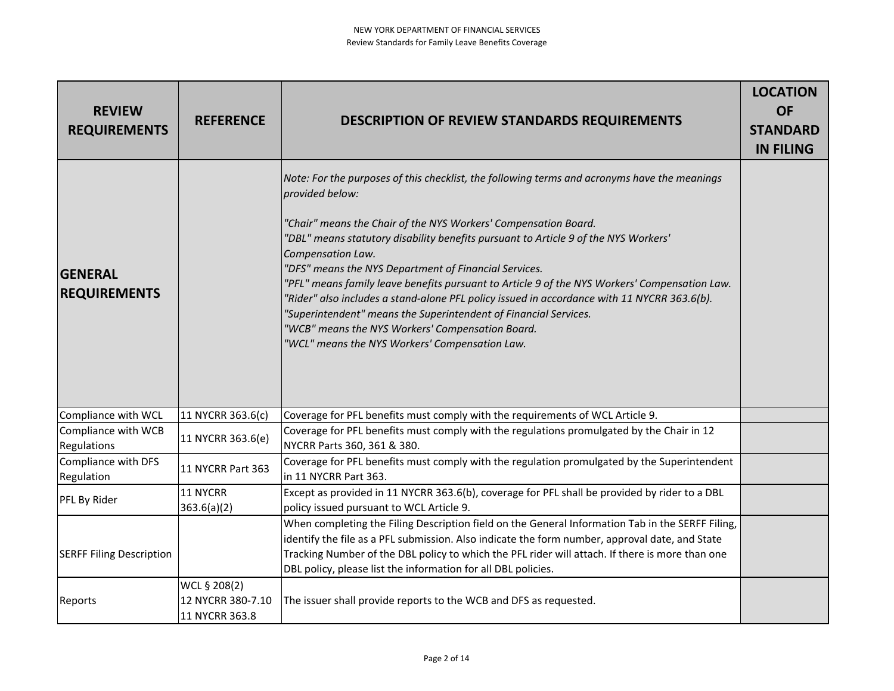### NEW YORK DEPARTMENT OF FINANCIAL SERVICES Review Standards for Family Leave Benefits Coverage

| <b>REVIEW</b><br><b>REQUIREMENTS</b>  | <b>REFERENCE</b>                                    | <b>DESCRIPTION OF REVIEW STANDARDS REQUIREMENTS</b>                                                                                                                                                                                                                                                                                                                                                                                                                                                                                                                                                                                                                                                                               | <b>LOCATION</b><br><b>OF</b><br><b>STANDARD</b><br><b>IN FILING</b> |
|---------------------------------------|-----------------------------------------------------|-----------------------------------------------------------------------------------------------------------------------------------------------------------------------------------------------------------------------------------------------------------------------------------------------------------------------------------------------------------------------------------------------------------------------------------------------------------------------------------------------------------------------------------------------------------------------------------------------------------------------------------------------------------------------------------------------------------------------------------|---------------------------------------------------------------------|
| <b>GENERAL</b><br><b>REQUIREMENTS</b> |                                                     | Note: For the purposes of this checklist, the following terms and acronyms have the meanings<br>provided below:<br>"Chair" means the Chair of the NYS Workers' Compensation Board.<br>"DBL" means statutory disability benefits pursuant to Article 9 of the NYS Workers'<br>Compensation Law.<br>"DFS" means the NYS Department of Financial Services.<br>"PFL" means family leave benefits pursuant to Article 9 of the NYS Workers' Compensation Law.<br>"Rider" also includes a stand-alone PFL policy issued in accordance with 11 NYCRR 363.6(b).<br>"Superintendent" means the Superintendent of Financial Services.<br>"WCB" means the NYS Workers' Compensation Board.<br>"WCL" means the NYS Workers' Compensation Law. |                                                                     |
| Compliance with WCL                   | 11 NYCRR 363.6(c)                                   | Coverage for PFL benefits must comply with the requirements of WCL Article 9.                                                                                                                                                                                                                                                                                                                                                                                                                                                                                                                                                                                                                                                     |                                                                     |
| Compliance with WCB<br>Regulations    | 11 NYCRR 363.6(e)                                   | Coverage for PFL benefits must comply with the regulations promulgated by the Chair in 12<br>NYCRR Parts 360, 361 & 380.                                                                                                                                                                                                                                                                                                                                                                                                                                                                                                                                                                                                          |                                                                     |
| Compliance with DFS<br>Regulation     | 11 NYCRR Part 363                                   | Coverage for PFL benefits must comply with the regulation promulgated by the Superintendent<br>in 11 NYCRR Part 363.                                                                                                                                                                                                                                                                                                                                                                                                                                                                                                                                                                                                              |                                                                     |
| PFL By Rider                          | 11 NYCRR<br>363.6(a)(2)                             | Except as provided in 11 NYCRR 363.6(b), coverage for PFL shall be provided by rider to a DBL<br>policy issued pursuant to WCL Article 9.                                                                                                                                                                                                                                                                                                                                                                                                                                                                                                                                                                                         |                                                                     |
| <b>SERFF Filing Description</b>       |                                                     | When completing the Filing Description field on the General Information Tab in the SERFF Filing,<br>identify the file as a PFL submission. Also indicate the form number, approval date, and State<br>Tracking Number of the DBL policy to which the PFL rider will attach. If there is more than one<br>DBL policy, please list the information for all DBL policies.                                                                                                                                                                                                                                                                                                                                                            |                                                                     |
| Reports                               | WCL § 208(2)<br>12 NYCRR 380-7.10<br>11 NYCRR 363.8 | The issuer shall provide reports to the WCB and DFS as requested.                                                                                                                                                                                                                                                                                                                                                                                                                                                                                                                                                                                                                                                                 |                                                                     |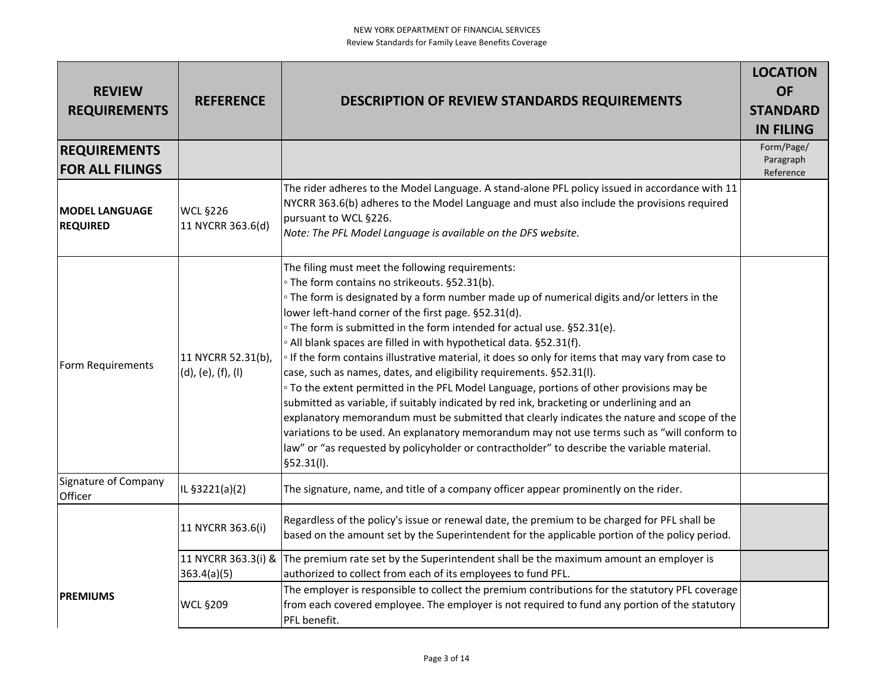| <b>REVIEW</b><br><b>REQUIREMENTS</b>          | <b>REFERENCE</b>                         | <b>DESCRIPTION OF REVIEW STANDARDS REQUIREMENTS</b>                                                                                                                                                                                                                                                                                                                                                                                                                                                                                                                                                                                                                                                                                                                                                                                                                                                                                                                                                                                                                                                                           | <b>LOCATION</b><br><b>OF</b><br><b>STANDARD</b><br><b>IN FILING</b> |
|-----------------------------------------------|------------------------------------------|-------------------------------------------------------------------------------------------------------------------------------------------------------------------------------------------------------------------------------------------------------------------------------------------------------------------------------------------------------------------------------------------------------------------------------------------------------------------------------------------------------------------------------------------------------------------------------------------------------------------------------------------------------------------------------------------------------------------------------------------------------------------------------------------------------------------------------------------------------------------------------------------------------------------------------------------------------------------------------------------------------------------------------------------------------------------------------------------------------------------------------|---------------------------------------------------------------------|
| <b>REQUIREMENTS</b><br><b>FOR ALL FILINGS</b> |                                          |                                                                                                                                                                                                                                                                                                                                                                                                                                                                                                                                                                                                                                                                                                                                                                                                                                                                                                                                                                                                                                                                                                                               | Form/Page/<br>Paragraph<br>Reference                                |
| <b>IMODEL LANGUAGE</b><br><b>REQUIRED</b>     | <b>WCL §226</b><br>11 NYCRR 363.6(d)     | The rider adheres to the Model Language. A stand-alone PFL policy issued in accordance with 11<br>NYCRR 363.6(b) adheres to the Model Language and must also include the provisions required<br>pursuant to WCL §226.<br>Note: The PFL Model Language is available on the DFS website.                                                                                                                                                                                                                                                                                                                                                                                                                                                                                                                                                                                                                                                                                                                                                                                                                                        |                                                                     |
| Form Requirements                             | 11 NYCRR 52.31(b),<br>(d), (e), (f), (I) | The filing must meet the following requirements:<br>° The form contains no strikeouts. §52.31(b).<br><sup>o</sup> The form is designated by a form number made up of numerical digits and/or letters in the<br>lower left-hand corner of the first page. §52.31(d).<br>∘ The form is submitted in the form intended for actual use. §52.31(e).<br>. All blank spaces are filled in with hypothetical data. §52.31(f).<br><sup>o</sup> If the form contains illustrative material, it does so only for items that may vary from case to<br>case, such as names, dates, and eligibility requirements. §52.31(I).<br><sup>o</sup> To the extent permitted in the PFL Model Language, portions of other provisions may be<br>submitted as variable, if suitably indicated by red ink, bracketing or underlining and an<br>explanatory memorandum must be submitted that clearly indicates the nature and scope of the<br>variations to be used. An explanatory memorandum may not use terms such as "will conform to<br>law" or "as requested by policyholder or contractholder" to describe the variable material.<br>§52.31(I). |                                                                     |
| Signature of Company<br>Officer               | IL §3221(a)(2)                           | The signature, name, and title of a company officer appear prominently on the rider.                                                                                                                                                                                                                                                                                                                                                                                                                                                                                                                                                                                                                                                                                                                                                                                                                                                                                                                                                                                                                                          |                                                                     |
|                                               | 11 NYCRR 363.6(i)                        | Regardless of the policy's issue or renewal date, the premium to be charged for PFL shall be<br>based on the amount set by the Superintendent for the applicable portion of the policy period.                                                                                                                                                                                                                                                                                                                                                                                                                                                                                                                                                                                                                                                                                                                                                                                                                                                                                                                                |                                                                     |
|                                               | 363.4(a)(5)                              | 11 NYCRR 363.3(i) & The premium rate set by the Superintendent shall be the maximum amount an employer is<br>authorized to collect from each of its employees to fund PFL.                                                                                                                                                                                                                                                                                                                                                                                                                                                                                                                                                                                                                                                                                                                                                                                                                                                                                                                                                    |                                                                     |
| <b>PREMIUMS</b>                               | <b>WCL §209</b>                          | The employer is responsible to collect the premium contributions for the statutory PFL coverage<br>from each covered employee. The employer is not required to fund any portion of the statutory<br>PFL benefit.                                                                                                                                                                                                                                                                                                                                                                                                                                                                                                                                                                                                                                                                                                                                                                                                                                                                                                              |                                                                     |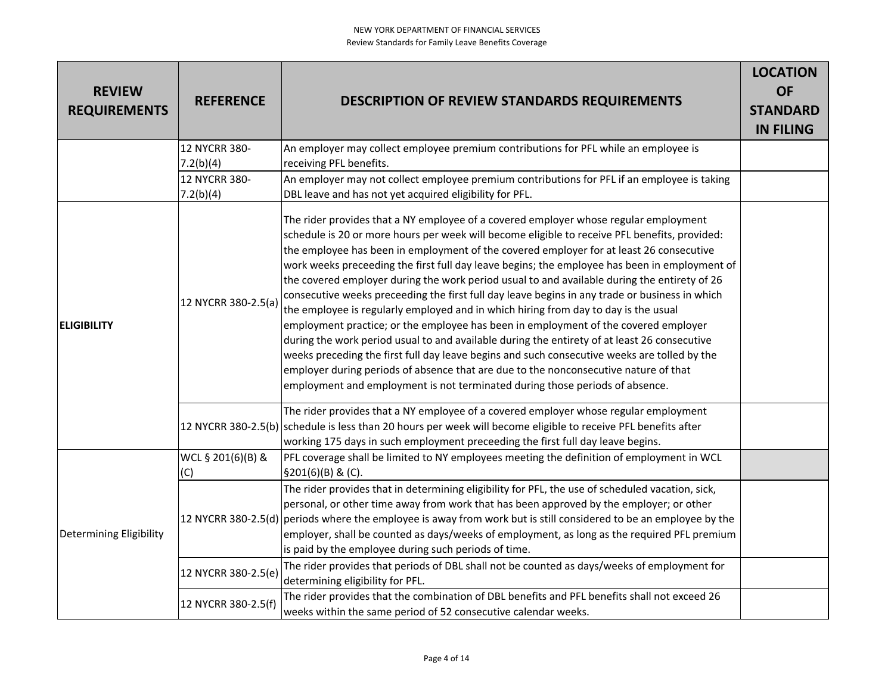| <b>REVIEW</b><br><b>REQUIREMENTS</b> | <b>REFERENCE</b>           | <b>DESCRIPTION OF REVIEW STANDARDS REQUIREMENTS</b>                                                                                                                                                                                                                                                                                                                                                                                                                                                                                                                                                                                                                                                                                                                                                                                                                                                                                                                                                                                                                                                                                       | <b>LOCATION</b><br><b>OF</b><br><b>STANDARD</b><br><b>IN FILING</b> |
|--------------------------------------|----------------------------|-------------------------------------------------------------------------------------------------------------------------------------------------------------------------------------------------------------------------------------------------------------------------------------------------------------------------------------------------------------------------------------------------------------------------------------------------------------------------------------------------------------------------------------------------------------------------------------------------------------------------------------------------------------------------------------------------------------------------------------------------------------------------------------------------------------------------------------------------------------------------------------------------------------------------------------------------------------------------------------------------------------------------------------------------------------------------------------------------------------------------------------------|---------------------------------------------------------------------|
|                                      | 12 NYCRR 380-              | An employer may collect employee premium contributions for PFL while an employee is                                                                                                                                                                                                                                                                                                                                                                                                                                                                                                                                                                                                                                                                                                                                                                                                                                                                                                                                                                                                                                                       |                                                                     |
|                                      | 7.2(b)(4)<br>12 NYCRR 380- | receiving PFL benefits.<br>An employer may not collect employee premium contributions for PFL if an employee is taking                                                                                                                                                                                                                                                                                                                                                                                                                                                                                                                                                                                                                                                                                                                                                                                                                                                                                                                                                                                                                    |                                                                     |
|                                      | 7.2(b)(4)                  | DBL leave and has not yet acquired eligibility for PFL.                                                                                                                                                                                                                                                                                                                                                                                                                                                                                                                                                                                                                                                                                                                                                                                                                                                                                                                                                                                                                                                                                   |                                                                     |
| <b>ELIGIBILITY</b>                   | 12 NYCRR 380-2.5(a)        | The rider provides that a NY employee of a covered employer whose regular employment<br>schedule is 20 or more hours per week will become eligible to receive PFL benefits, provided:<br>the employee has been in employment of the covered employer for at least 26 consecutive<br>work weeks preceeding the first full day leave begins; the employee has been in employment of<br>the covered employer during the work period usual to and available during the entirety of 26<br>consecutive weeks preceeding the first full day leave begins in any trade or business in which<br>the employee is regularly employed and in which hiring from day to day is the usual<br>employment practice; or the employee has been in employment of the covered employer<br>during the work period usual to and available during the entirety of at least 26 consecutive<br>weeks preceding the first full day leave begins and such consecutive weeks are tolled by the<br>employer during periods of absence that are due to the nonconsecutive nature of that<br>employment and employment is not terminated during those periods of absence. |                                                                     |
|                                      |                            | The rider provides that a NY employee of a covered employer whose regular employment<br>12 NYCRR 380-2.5(b) schedule is less than 20 hours per week will become eligible to receive PFL benefits after<br>working 175 days in such employment preceeding the first full day leave begins.                                                                                                                                                                                                                                                                                                                                                                                                                                                                                                                                                                                                                                                                                                                                                                                                                                                 |                                                                     |
|                                      | WCL § 201(6)(B) &          | PFL coverage shall be limited to NY employees meeting the definition of employment in WCL                                                                                                                                                                                                                                                                                                                                                                                                                                                                                                                                                                                                                                                                                                                                                                                                                                                                                                                                                                                                                                                 |                                                                     |
|                                      | (C)                        | \$201(6)(B) & (C).                                                                                                                                                                                                                                                                                                                                                                                                                                                                                                                                                                                                                                                                                                                                                                                                                                                                                                                                                                                                                                                                                                                        |                                                                     |
| <b>Determining Eligibility</b>       |                            | The rider provides that in determining eligibility for PFL, the use of scheduled vacation, sick,<br>personal, or other time away from work that has been approved by the employer; or other<br>12 NYCRR 380-2.5(d) periods where the employee is away from work but is still considered to be an employee by the<br>employer, shall be counted as days/weeks of employment, as long as the required PFL premium<br>is paid by the employee during such periods of time.                                                                                                                                                                                                                                                                                                                                                                                                                                                                                                                                                                                                                                                                   |                                                                     |
|                                      | 12 NYCRR 380-2.5(e)        | The rider provides that periods of DBL shall not be counted as days/weeks of employment for<br>determining eligibility for PFL.                                                                                                                                                                                                                                                                                                                                                                                                                                                                                                                                                                                                                                                                                                                                                                                                                                                                                                                                                                                                           |                                                                     |
|                                      | 12 NYCRR 380-2.5(f)        | The rider provides that the combination of DBL benefits and PFL benefits shall not exceed 26<br>weeks within the same period of 52 consecutive calendar weeks.                                                                                                                                                                                                                                                                                                                                                                                                                                                                                                                                                                                                                                                                                                                                                                                                                                                                                                                                                                            |                                                                     |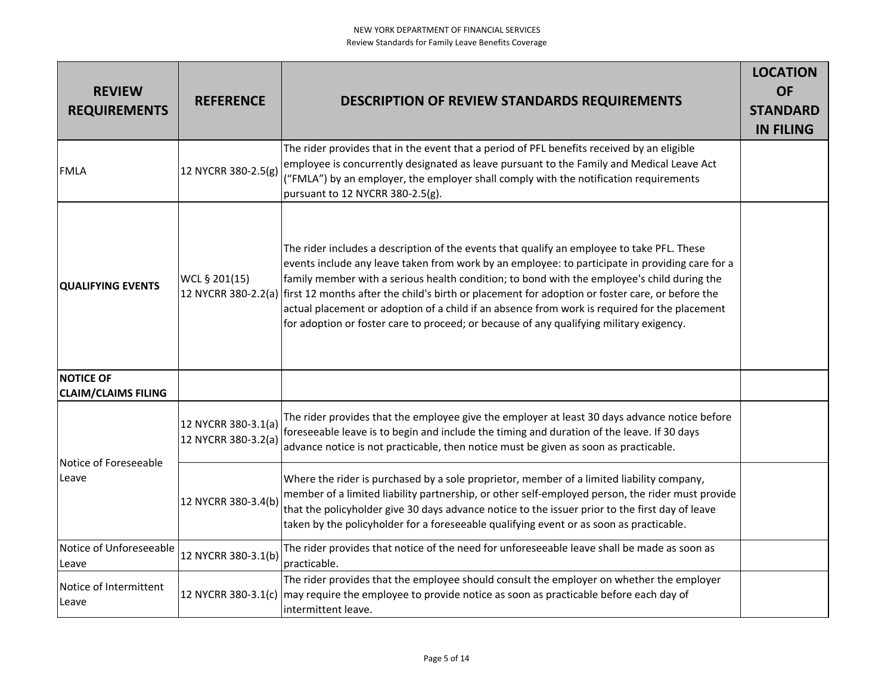| <b>REVIEW</b><br><b>REQUIREMENTS</b>           | <b>REFERENCE</b>                           | <b>DESCRIPTION OF REVIEW STANDARDS REQUIREMENTS</b>                                                                                                                                                                                                                                                                                                                                                                                                                                                                                                                                         | <b>LOCATION</b><br><b>OF</b><br><b>STANDARD</b><br><b>IN FILING</b> |
|------------------------------------------------|--------------------------------------------|---------------------------------------------------------------------------------------------------------------------------------------------------------------------------------------------------------------------------------------------------------------------------------------------------------------------------------------------------------------------------------------------------------------------------------------------------------------------------------------------------------------------------------------------------------------------------------------------|---------------------------------------------------------------------|
| <b>FMLA</b>                                    | 12 NYCRR 380-2.5(g)                        | The rider provides that in the event that a period of PFL benefits received by an eligible<br>employee is concurrently designated as leave pursuant to the Family and Medical Leave Act<br>("FMLA") by an employer, the employer shall comply with the notification requirements<br>pursuant to 12 NYCRR 380-2.5(g).                                                                                                                                                                                                                                                                        |                                                                     |
| <b>QUALIFYING EVENTS</b>                       | WCL § 201(15)<br>12 NYCRR 380-2.2(a)       | The rider includes a description of the events that qualify an employee to take PFL. These<br>events include any leave taken from work by an employee: to participate in providing care for a<br>family member with a serious health condition; to bond with the employee's child during the<br>first 12 months after the child's birth or placement for adoption or foster care, or before the<br>actual placement or adoption of a child if an absence from work is required for the placement<br>for adoption or foster care to proceed; or because of any qualifying military exigency. |                                                                     |
| <b>NOTICE OF</b><br><b>CLAIM/CLAIMS FILING</b> |                                            |                                                                                                                                                                                                                                                                                                                                                                                                                                                                                                                                                                                             |                                                                     |
| Notice of Foreseeable<br>Leave                 | 12 NYCRR 380-3.1(a)<br>12 NYCRR 380-3.2(a) | The rider provides that the employee give the employer at least 30 days advance notice before<br>foreseeable leave is to begin and include the timing and duration of the leave. If 30 days<br>advance notice is not practicable, then notice must be given as soon as practicable.                                                                                                                                                                                                                                                                                                         |                                                                     |
|                                                | 12 NYCRR 380-3.4(b)                        | Where the rider is purchased by a sole proprietor, member of a limited liability company,<br>member of a limited liability partnership, or other self-employed person, the rider must provide<br>that the policyholder give 30 days advance notice to the issuer prior to the first day of leave<br>taken by the policyholder for a foreseeable qualifying event or as soon as practicable.                                                                                                                                                                                                 |                                                                     |
| Notice of Unforeseeable<br>Leave               | 12 NYCRR 380-3.1(b)                        | The rider provides that notice of the need for unforeseeable leave shall be made as soon as<br>practicable.                                                                                                                                                                                                                                                                                                                                                                                                                                                                                 |                                                                     |
| Notice of Intermittent<br>Leave                | 12 NYCRR 380-3.1(c)                        | The rider provides that the employee should consult the employer on whether the employer<br>may require the employee to provide notice as soon as practicable before each day of<br>intermittent leave.                                                                                                                                                                                                                                                                                                                                                                                     |                                                                     |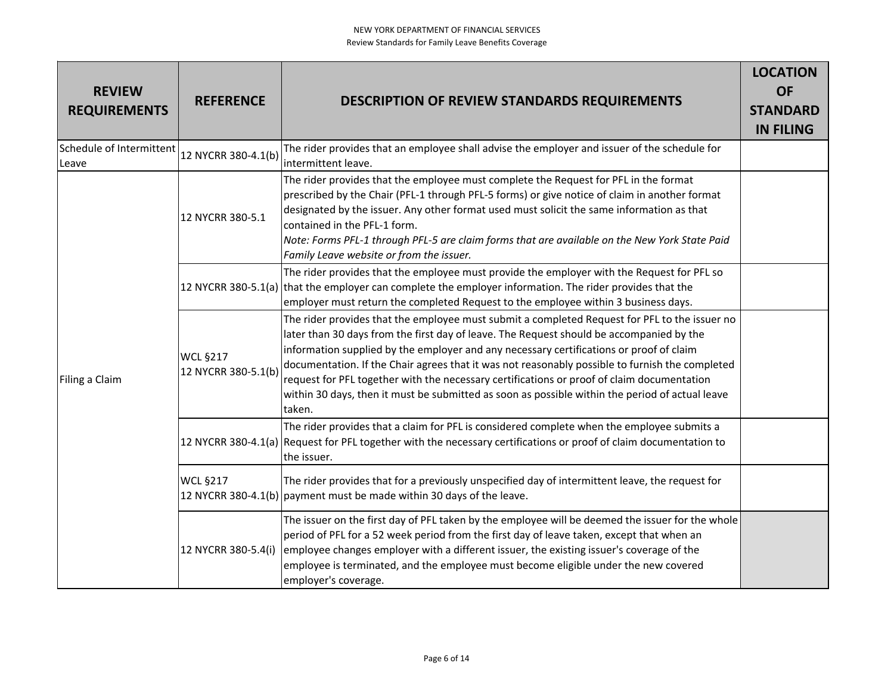| <b>REVIEW</b><br><b>REQUIREMENTS</b> | <b>REFERENCE</b>                       | <b>DESCRIPTION OF REVIEW STANDARDS REQUIREMENTS</b>                                                                                                                                                                                                                                                                                                                                                                                                                                                                                                                                                | <b>LOCATION</b><br><b>OF</b><br><b>STANDARD</b><br><b>IN FILING</b> |
|--------------------------------------|----------------------------------------|----------------------------------------------------------------------------------------------------------------------------------------------------------------------------------------------------------------------------------------------------------------------------------------------------------------------------------------------------------------------------------------------------------------------------------------------------------------------------------------------------------------------------------------------------------------------------------------------------|---------------------------------------------------------------------|
| Schedule of Intermittent<br>Leave    | 12 NYCRR 380-4.1(b)                    | The rider provides that an employee shall advise the employer and issuer of the schedule for<br>intermittent leave.                                                                                                                                                                                                                                                                                                                                                                                                                                                                                |                                                                     |
| Filing a Claim                       | 12 NYCRR 380-5.1                       | The rider provides that the employee must complete the Request for PFL in the format<br>prescribed by the Chair (PFL-1 through PFL-5 forms) or give notice of claim in another format<br>designated by the issuer. Any other format used must solicit the same information as that<br>contained in the PFL-1 form.<br>Note: Forms PFL-1 through PFL-5 are claim forms that are available on the New York State Paid<br>Family Leave website or from the issuer.                                                                                                                                    |                                                                     |
|                                      |                                        | The rider provides that the employee must provide the employer with the Request for PFL so<br>12 NYCRR 380-5.1(a) that the employer can complete the employer information. The rider provides that the<br>employer must return the completed Request to the employee within 3 business days.                                                                                                                                                                                                                                                                                                       |                                                                     |
|                                      | <b>WCL §217</b><br>12 NYCRR 380-5.1(b) | The rider provides that the employee must submit a completed Request for PFL to the issuer no<br>later than 30 days from the first day of leave. The Request should be accompanied by the<br>information supplied by the employer and any necessary certifications or proof of claim<br>documentation. If the Chair agrees that it was not reasonably possible to furnish the completed<br>request for PFL together with the necessary certifications or proof of claim documentation<br>within 30 days, then it must be submitted as soon as possible within the period of actual leave<br>taken. |                                                                     |
|                                      |                                        | The rider provides that a claim for PFL is considered complete when the employee submits a<br>12 NYCRR 380-4.1(a) Request for PFL together with the necessary certifications or proof of claim documentation to<br>the issuer.                                                                                                                                                                                                                                                                                                                                                                     |                                                                     |
|                                      | <b>WCL §217</b>                        | The rider provides that for a previously unspecified day of intermittent leave, the request for<br>12 NYCRR 380-4.1(b) payment must be made within 30 days of the leave.                                                                                                                                                                                                                                                                                                                                                                                                                           |                                                                     |
|                                      | 12 NYCRR 380-5.4(i)                    | The issuer on the first day of PFL taken by the employee will be deemed the issuer for the whole<br>period of PFL for a 52 week period from the first day of leave taken, except that when an<br>employee changes employer with a different issuer, the existing issuer's coverage of the<br>employee is terminated, and the employee must become eligible under the new covered<br>employer's coverage.                                                                                                                                                                                           |                                                                     |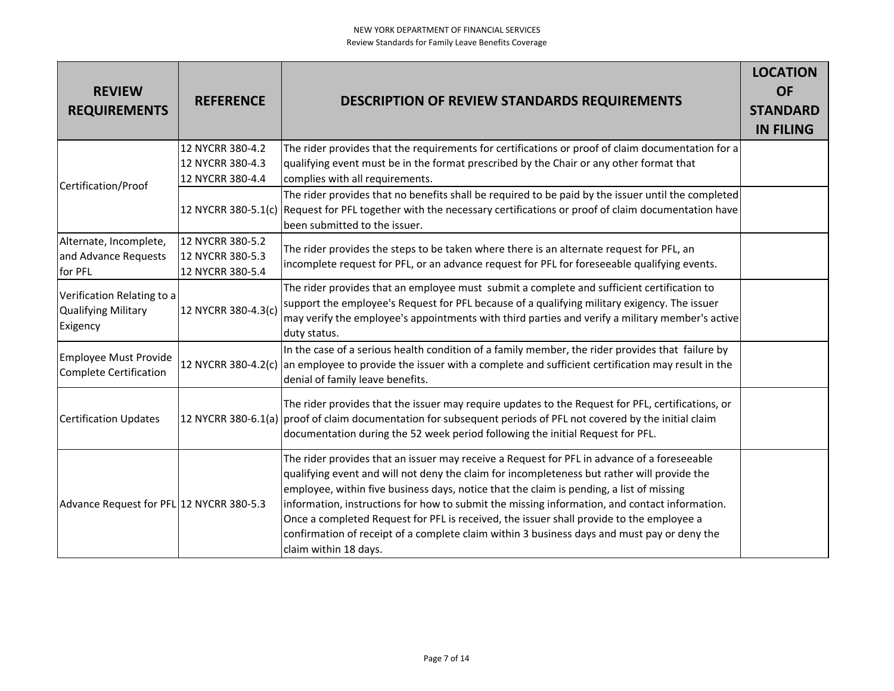| <b>REVIEW</b><br><b>REQUIREMENTS</b>                          | <b>REFERENCE</b>                                         | <b>DESCRIPTION OF REVIEW STANDARDS REQUIREMENTS</b>                                                                                                                                                                                                                                                                                                                                                                                                                                                                                                                                                         | <b>LOCATION</b><br><b>OF</b><br><b>STANDARD</b><br><b>IN FILING</b> |
|---------------------------------------------------------------|----------------------------------------------------------|-------------------------------------------------------------------------------------------------------------------------------------------------------------------------------------------------------------------------------------------------------------------------------------------------------------------------------------------------------------------------------------------------------------------------------------------------------------------------------------------------------------------------------------------------------------------------------------------------------------|---------------------------------------------------------------------|
|                                                               | 12 NYCRR 380-4.2<br>12 NYCRR 380-4.3<br>12 NYCRR 380-4.4 | The rider provides that the requirements for certifications or proof of claim documentation for a<br>qualifying event must be in the format prescribed by the Chair or any other format that<br>complies with all requirements.                                                                                                                                                                                                                                                                                                                                                                             |                                                                     |
| Certification/Proof                                           |                                                          | The rider provides that no benefits shall be required to be paid by the issuer until the completed<br>12 NYCRR 380-5.1(c) Request for PFL together with the necessary certifications or proof of claim documentation have<br>been submitted to the issuer.                                                                                                                                                                                                                                                                                                                                                  |                                                                     |
| Alternate, Incomplete,<br>and Advance Requests<br>for PFL     | 12 NYCRR 380-5.2<br>12 NYCRR 380-5.3<br>12 NYCRR 380-5.4 | The rider provides the steps to be taken where there is an alternate request for PFL, an<br>incomplete request for PFL, or an advance request for PFL for foreseeable qualifying events.                                                                                                                                                                                                                                                                                                                                                                                                                    |                                                                     |
| Verification Relating to a<br>Qualifying Military<br>Exigency | 12 NYCRR 380-4.3(c)                                      | The rider provides that an employee must submit a complete and sufficient certification to<br>support the employee's Request for PFL because of a qualifying military exigency. The issuer<br>may verify the employee's appointments with third parties and verify a military member's active<br>duty status.                                                                                                                                                                                                                                                                                               |                                                                     |
| Employee Must Provide<br>Complete Certification               |                                                          | In the case of a serious health condition of a family member, the rider provides that failure by<br>12 NYCRR 380-4.2(c) an employee to provide the issuer with a complete and sufficient certification may result in the<br>denial of family leave benefits.                                                                                                                                                                                                                                                                                                                                                |                                                                     |
| Certification Updates                                         |                                                          | The rider provides that the issuer may require updates to the Request for PFL, certifications, or<br>12 NYCRR 380-6.1(a) proof of claim documentation for subsequent periods of PFL not covered by the initial claim<br>documentation during the 52 week period following the initial Request for PFL.                                                                                                                                                                                                                                                                                                      |                                                                     |
| Advance Request for PFL 12 NYCRR 380-5.3                      |                                                          | The rider provides that an issuer may receive a Request for PFL in advance of a foreseeable<br>qualifying event and will not deny the claim for incompleteness but rather will provide the<br>employee, within five business days, notice that the claim is pending, a list of missing<br>information, instructions for how to submit the missing information, and contact information.<br>Once a completed Request for PFL is received, the issuer shall provide to the employee a<br>confirmation of receipt of a complete claim within 3 business days and must pay or deny the<br>claim within 18 days. |                                                                     |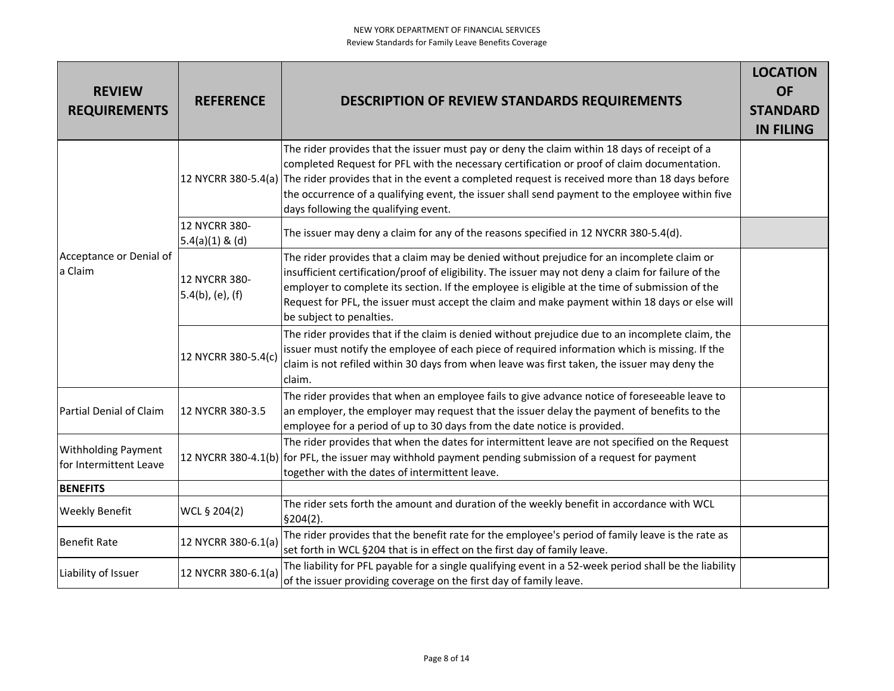| <b>REVIEW</b><br><b>REQUIREMENTS</b>                 | <b>REFERENCE</b>                     | <b>DESCRIPTION OF REVIEW STANDARDS REQUIREMENTS</b>                                                                                                                                                                                                                                                                                                                                                                                                         | <b>LOCATION</b><br><b>OF</b><br><b>STANDARD</b><br><b>IN FILING</b> |
|------------------------------------------------------|--------------------------------------|-------------------------------------------------------------------------------------------------------------------------------------------------------------------------------------------------------------------------------------------------------------------------------------------------------------------------------------------------------------------------------------------------------------------------------------------------------------|---------------------------------------------------------------------|
|                                                      |                                      | The rider provides that the issuer must pay or deny the claim within 18 days of receipt of a<br>completed Request for PFL with the necessary certification or proof of claim documentation.<br>12 NYCRR 380-5.4(a) The rider provides that in the event a completed request is received more than 18 days before<br>the occurrence of a qualifying event, the issuer shall send payment to the employee within five<br>days following the qualifying event. |                                                                     |
|                                                      | 12 NYCRR 380-<br>$5.4(a)(1)$ & (d)   | The issuer may deny a claim for any of the reasons specified in 12 NYCRR 380-5.4(d).                                                                                                                                                                                                                                                                                                                                                                        |                                                                     |
| Acceptance or Denial of<br>a Claim                   | 12 NYCRR 380-<br>$5.4(b)$ , (e), (f) | The rider provides that a claim may be denied without prejudice for an incomplete claim or<br>insufficient certification/proof of eligibility. The issuer may not deny a claim for failure of the<br>employer to complete its section. If the employee is eligible at the time of submission of the<br>Request for PFL, the issuer must accept the claim and make payment within 18 days or else will<br>be subject to penalties.                           |                                                                     |
|                                                      | 12 NYCRR 380-5.4(c)                  | The rider provides that if the claim is denied without prejudice due to an incomplete claim, the<br>issuer must notify the employee of each piece of required information which is missing. If the<br>claim is not refiled within 30 days from when leave was first taken, the issuer may deny the<br>claim.                                                                                                                                                |                                                                     |
| Partial Denial of Claim                              | 12 NYCRR 380-3.5                     | The rider provides that when an employee fails to give advance notice of foreseeable leave to<br>an employer, the employer may request that the issuer delay the payment of benefits to the<br>employee for a period of up to 30 days from the date notice is provided.                                                                                                                                                                                     |                                                                     |
| <b>Withholding Payment</b><br>for Intermittent Leave |                                      | The rider provides that when the dates for intermittent leave are not specified on the Request<br>12 NYCRR 380-4.1(b) for PFL, the issuer may withhold payment pending submission of a request for payment<br>together with the dates of intermittent leave.                                                                                                                                                                                                |                                                                     |
| <b>BENEFITS</b>                                      |                                      |                                                                                                                                                                                                                                                                                                                                                                                                                                                             |                                                                     |
| <b>Weekly Benefit</b>                                | WCL § 204(2)                         | The rider sets forth the amount and duration of the weekly benefit in accordance with WCL<br>\$204(2).                                                                                                                                                                                                                                                                                                                                                      |                                                                     |
| <b>Benefit Rate</b>                                  | 12 NYCRR 380-6.1(a)                  | The rider provides that the benefit rate for the employee's period of family leave is the rate as<br>set forth in WCL §204 that is in effect on the first day of family leave.                                                                                                                                                                                                                                                                              |                                                                     |
| Liability of Issuer                                  | 12 NYCRR 380-6.1(a)                  | The liability for PFL payable for a single qualifying event in a 52-week period shall be the liability<br>of the issuer providing coverage on the first day of family leave.                                                                                                                                                                                                                                                                                |                                                                     |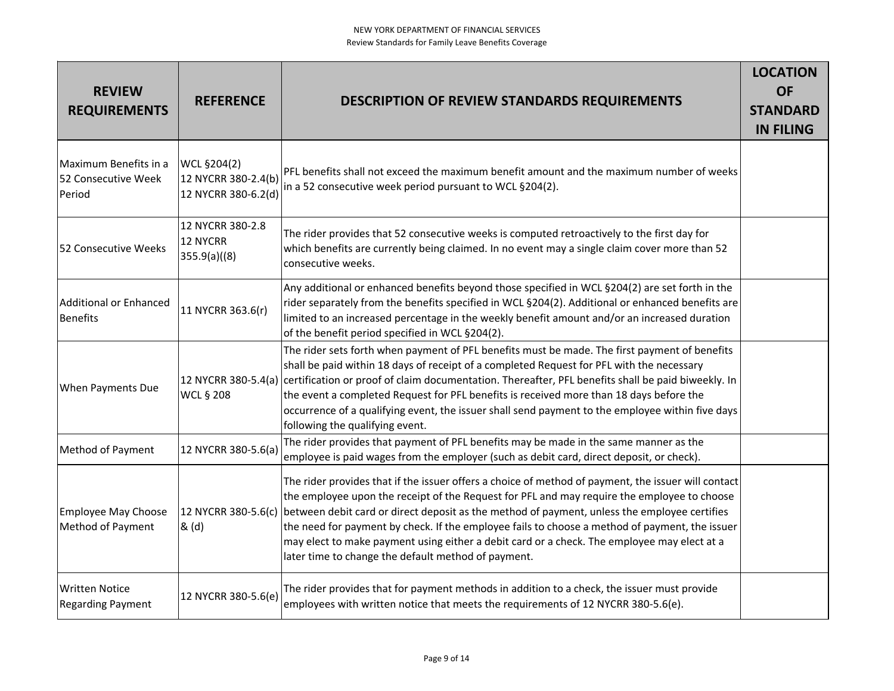| <b>REVIEW</b><br><b>REQUIREMENTS</b>                   | <b>REFERENCE</b>                                          | <b>DESCRIPTION OF REVIEW STANDARDS REQUIREMENTS</b>                                                                                                                                                                                                                                                                                                                                                                                                                                                                                                                            | <b>LOCATION</b><br><b>OF</b><br><b>STANDARD</b><br><b>IN FILING</b> |
|--------------------------------------------------------|-----------------------------------------------------------|--------------------------------------------------------------------------------------------------------------------------------------------------------------------------------------------------------------------------------------------------------------------------------------------------------------------------------------------------------------------------------------------------------------------------------------------------------------------------------------------------------------------------------------------------------------------------------|---------------------------------------------------------------------|
| Maximum Benefits in a<br>52 Consecutive Week<br>Period | WCL §204(2)<br>12 NYCRR 380-2.4(b)<br>12 NYCRR 380-6.2(d) | PFL benefits shall not exceed the maximum benefit amount and the maximum number of weeks<br>in a 52 consecutive week period pursuant to WCL §204(2).                                                                                                                                                                                                                                                                                                                                                                                                                           |                                                                     |
| 52 Consecutive Weeks                                   | 12 NYCRR 380-2.8<br>12 NYCRR<br>355.9(a)((8))             | The rider provides that 52 consecutive weeks is computed retroactively to the first day for<br>which benefits are currently being claimed. In no event may a single claim cover more than 52<br>consecutive weeks.                                                                                                                                                                                                                                                                                                                                                             |                                                                     |
| Additional or Enhanced<br><b>Benefits</b>              | 11 NYCRR 363.6(r)                                         | Any additional or enhanced benefits beyond those specified in WCL §204(2) are set forth in the<br>rider separately from the benefits specified in WCL §204(2). Additional or enhanced benefits are<br>limited to an increased percentage in the weekly benefit amount and/or an increased duration<br>of the benefit period specified in WCL §204(2).                                                                                                                                                                                                                          |                                                                     |
| <b>When Payments Due</b>                               | <b>WCL § 208</b>                                          | The rider sets forth when payment of PFL benefits must be made. The first payment of benefits<br>shall be paid within 18 days of receipt of a completed Request for PFL with the necessary<br>12 NYCRR 380-5.4(a) certification or proof of claim documentation. Thereafter, PFL benefits shall be paid biweekly. In<br>the event a completed Request for PFL benefits is received more than 18 days before the<br>occurrence of a qualifying event, the issuer shall send payment to the employee within five days<br>following the qualifying event.                         |                                                                     |
| Method of Payment                                      | 12 NYCRR 380-5.6(a)                                       | The rider provides that payment of PFL benefits may be made in the same manner as the<br>employee is paid wages from the employer (such as debit card, direct deposit, or check).                                                                                                                                                                                                                                                                                                                                                                                              |                                                                     |
| Employee May Choose<br>Method of Payment               | & (d)                                                     | The rider provides that if the issuer offers a choice of method of payment, the issuer will contact<br>the employee upon the receipt of the Request for PFL and may require the employee to choose<br>12 NYCRR 380-5.6(c) between debit card or direct deposit as the method of payment, unless the employee certifies<br>the need for payment by check. If the employee fails to choose a method of payment, the issuer<br>may elect to make payment using either a debit card or a check. The employee may elect at a<br>later time to change the default method of payment. |                                                                     |
| Written Notice<br><b>Regarding Payment</b>             | 12 NYCRR 380-5.6(e)                                       | The rider provides that for payment methods in addition to a check, the issuer must provide<br>employees with written notice that meets the requirements of 12 NYCRR 380-5.6(e).                                                                                                                                                                                                                                                                                                                                                                                               |                                                                     |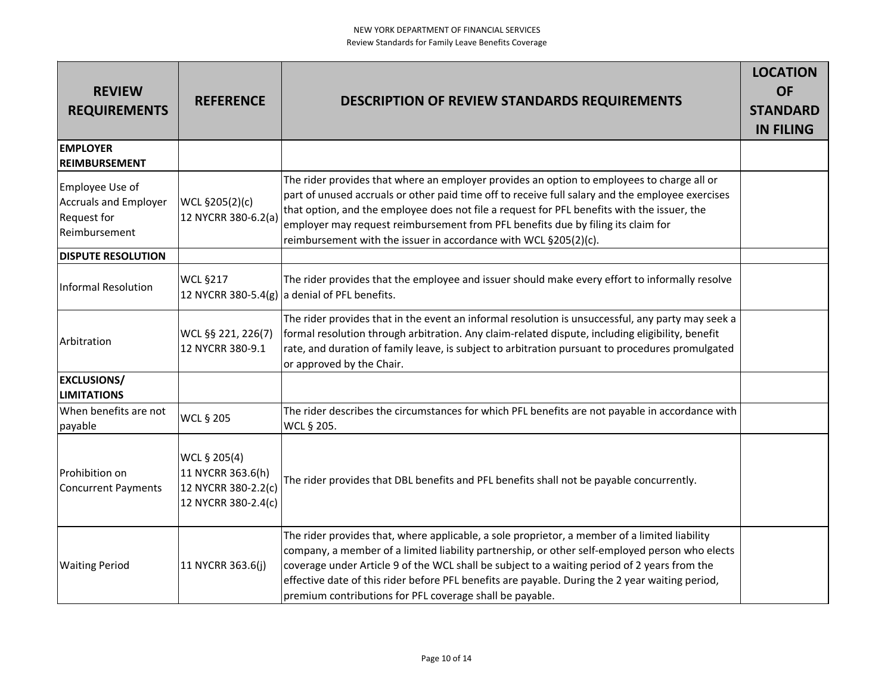| <b>REVIEW</b><br><b>REQUIREMENTS</b>                                                   | <b>REFERENCE</b>                                                                | <b>DESCRIPTION OF REVIEW STANDARDS REQUIREMENTS</b>                                                                                                                                                                                                                                                                                                                                                                                                            | <b>LOCATION</b><br><b>OF</b><br><b>STANDARD</b><br><b>IN FILING</b> |
|----------------------------------------------------------------------------------------|---------------------------------------------------------------------------------|----------------------------------------------------------------------------------------------------------------------------------------------------------------------------------------------------------------------------------------------------------------------------------------------------------------------------------------------------------------------------------------------------------------------------------------------------------------|---------------------------------------------------------------------|
| <b>EMPLOYER</b><br>REIMBURSEMENT                                                       |                                                                                 |                                                                                                                                                                                                                                                                                                                                                                                                                                                                |                                                                     |
| Employee Use of<br><b>Accruals and Employer</b><br><b>Request for</b><br>Reimbursement | WCL §205(2)(c)<br>12 NYCRR 380-6.2(a)                                           | The rider provides that where an employer provides an option to employees to charge all or<br>part of unused accruals or other paid time off to receive full salary and the employee exercises<br>that option, and the employee does not file a request for PFL benefits with the issuer, the<br>employer may request reimbursement from PFL benefits due by filing its claim for<br>reimbursement with the issuer in accordance with WCL §205(2)(c).          |                                                                     |
| <b>DISPUTE RESOLUTION</b>                                                              |                                                                                 |                                                                                                                                                                                                                                                                                                                                                                                                                                                                |                                                                     |
| Informal Resolution                                                                    | <b>WCL §217</b>                                                                 | The rider provides that the employee and issuer should make every effort to informally resolve<br>12 NYCRR 380-5.4(g) a denial of PFL benefits.                                                                                                                                                                                                                                                                                                                |                                                                     |
| Arbitration                                                                            | WCL §§ 221, 226(7)<br>12 NYCRR 380-9.1                                          | The rider provides that in the event an informal resolution is unsuccessful, any party may seek a<br>formal resolution through arbitration. Any claim-related dispute, including eligibility, benefit<br>rate, and duration of family leave, is subject to arbitration pursuant to procedures promulgated<br>or approved by the Chair.                                                                                                                         |                                                                     |
| <b>EXCLUSIONS/</b><br><b>LIMITATIONS</b>                                               |                                                                                 |                                                                                                                                                                                                                                                                                                                                                                                                                                                                |                                                                     |
| When benefits are not<br>payable                                                       | <b>WCL § 205</b>                                                                | The rider describes the circumstances for which PFL benefits are not payable in accordance with<br>WCL § 205.                                                                                                                                                                                                                                                                                                                                                  |                                                                     |
| Prohibition on<br>Concurrent Payments                                                  | WCL § 205(4)<br>11 NYCRR 363.6(h)<br>12 NYCRR 380-2.2(c)<br>12 NYCRR 380-2.4(c) | The rider provides that DBL benefits and PFL benefits shall not be payable concurrently.                                                                                                                                                                                                                                                                                                                                                                       |                                                                     |
| <b>Waiting Period</b>                                                                  | 11 NYCRR 363.6(j)                                                               | The rider provides that, where applicable, a sole proprietor, a member of a limited liability<br>company, a member of a limited liability partnership, or other self-employed person who elects<br>coverage under Article 9 of the WCL shall be subject to a waiting period of 2 years from the<br>effective date of this rider before PFL benefits are payable. During the 2 year waiting period,<br>premium contributions for PFL coverage shall be payable. |                                                                     |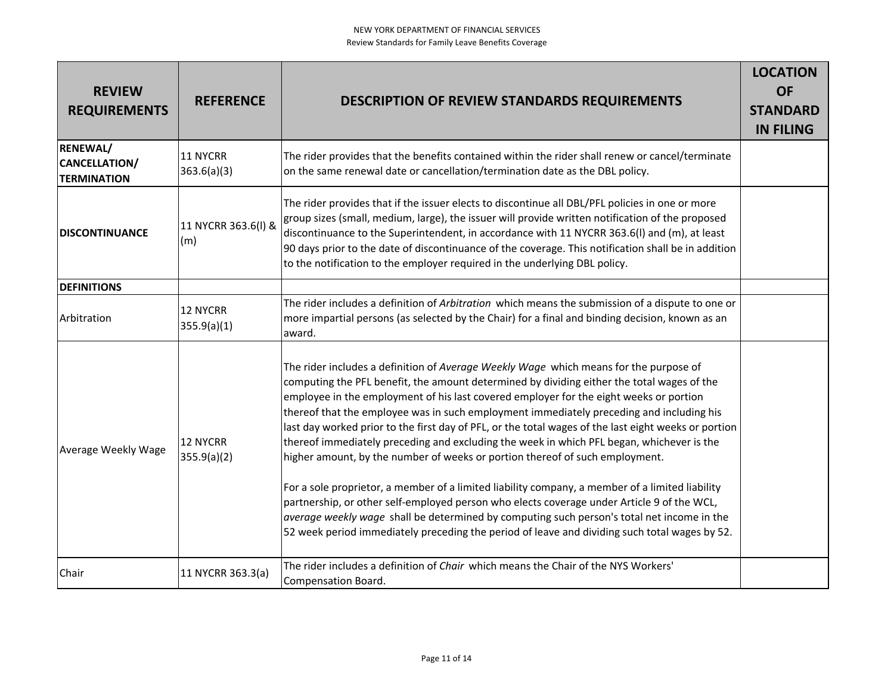| <b>REVIEW</b><br><b>REQUIREMENTS</b>                          | <b>REFERENCE</b>               | <b>DESCRIPTION OF REVIEW STANDARDS REQUIREMENTS</b>                                                                                                                                                                                                                                                                                                                                                                                                                                                                                                                                                                                                                                                                                                                                                                                                                                                                                                                                                                                                            | <b>LOCATION</b><br><b>OF</b><br><b>STANDARD</b><br><b>IN FILING</b> |
|---------------------------------------------------------------|--------------------------------|----------------------------------------------------------------------------------------------------------------------------------------------------------------------------------------------------------------------------------------------------------------------------------------------------------------------------------------------------------------------------------------------------------------------------------------------------------------------------------------------------------------------------------------------------------------------------------------------------------------------------------------------------------------------------------------------------------------------------------------------------------------------------------------------------------------------------------------------------------------------------------------------------------------------------------------------------------------------------------------------------------------------------------------------------------------|---------------------------------------------------------------------|
| <b>RENEWAL/</b><br><b>CANCELLATION/</b><br><b>TERMINATION</b> | 11 NYCRR<br>363.6(a)(3)        | The rider provides that the benefits contained within the rider shall renew or cancel/terminate<br>on the same renewal date or cancellation/termination date as the DBL policy.                                                                                                                                                                                                                                                                                                                                                                                                                                                                                                                                                                                                                                                                                                                                                                                                                                                                                |                                                                     |
| <b>DISCONTINUANCE</b>                                         | 11 NYCRR 363.6(I) &<br>(m)     | The rider provides that if the issuer elects to discontinue all DBL/PFL policies in one or more<br>group sizes (small, medium, large), the issuer will provide written notification of the proposed<br>discontinuance to the Superintendent, in accordance with 11 NYCRR 363.6(I) and (m), at least<br>90 days prior to the date of discontinuance of the coverage. This notification shall be in addition<br>to the notification to the employer required in the underlying DBL policy.                                                                                                                                                                                                                                                                                                                                                                                                                                                                                                                                                                       |                                                                     |
| <b>DEFINITIONS</b>                                            |                                |                                                                                                                                                                                                                                                                                                                                                                                                                                                                                                                                                                                                                                                                                                                                                                                                                                                                                                                                                                                                                                                                |                                                                     |
| Arbitration                                                   | <b>12 NYCRR</b><br>355.9(a)(1) | The rider includes a definition of Arbitration which means the submission of a dispute to one or<br>more impartial persons (as selected by the Chair) for a final and binding decision, known as an<br>award.                                                                                                                                                                                                                                                                                                                                                                                                                                                                                                                                                                                                                                                                                                                                                                                                                                                  |                                                                     |
| Average Weekly Wage                                           | 12 NYCRR<br>355.9(a)(2)        | The rider includes a definition of Average Weekly Wage which means for the purpose of<br>computing the PFL benefit, the amount determined by dividing either the total wages of the<br>employee in the employment of his last covered employer for the eight weeks or portion<br>thereof that the employee was in such employment immediately preceding and including his<br>last day worked prior to the first day of PFL, or the total wages of the last eight weeks or portion<br>thereof immediately preceding and excluding the week in which PFL began, whichever is the<br>higher amount, by the number of weeks or portion thereof of such employment.<br>For a sole proprietor, a member of a limited liability company, a member of a limited liability<br>partnership, or other self-employed person who elects coverage under Article 9 of the WCL,<br>average weekly wage shall be determined by computing such person's total net income in the<br>52 week period immediately preceding the period of leave and dividing such total wages by 52. |                                                                     |
| Chair                                                         | 11 NYCRR 363.3(a)              | The rider includes a definition of <i>Chair</i> which means the Chair of the NYS Workers'<br>Compensation Board.                                                                                                                                                                                                                                                                                                                                                                                                                                                                                                                                                                                                                                                                                                                                                                                                                                                                                                                                               |                                                                     |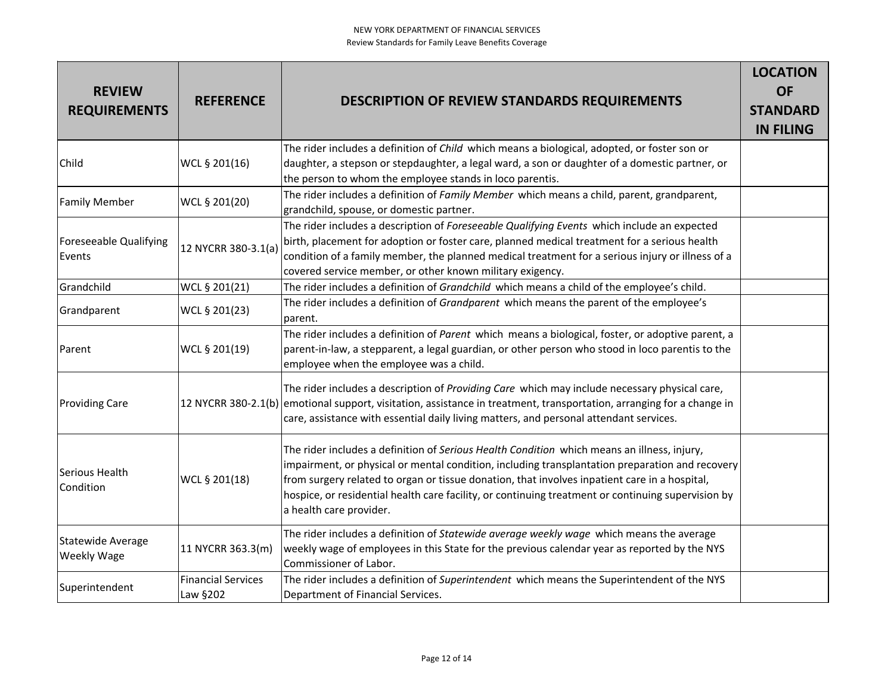| <b>REVIEW</b><br><b>REQUIREMENTS</b> | <b>REFERENCE</b>                      | <b>DESCRIPTION OF REVIEW STANDARDS REQUIREMENTS</b>                                                                                                                                                                                                                                                                                                                                                                              | <b>LOCATION</b><br><b>OF</b><br><b>STANDARD</b><br><b>IN FILING</b> |
|--------------------------------------|---------------------------------------|----------------------------------------------------------------------------------------------------------------------------------------------------------------------------------------------------------------------------------------------------------------------------------------------------------------------------------------------------------------------------------------------------------------------------------|---------------------------------------------------------------------|
| Child                                | WCL § 201(16)                         | The rider includes a definition of Child which means a biological, adopted, or foster son or<br>daughter, a stepson or stepdaughter, a legal ward, a son or daughter of a domestic partner, or<br>the person to whom the employee stands in loco parentis.                                                                                                                                                                       |                                                                     |
| <b>Family Member</b>                 | WCL § 201(20)                         | The rider includes a definition of Family Member which means a child, parent, grandparent,<br>grandchild, spouse, or domestic partner.                                                                                                                                                                                                                                                                                           |                                                                     |
| Foreseeable Qualifying<br>Events     | 12 NYCRR 380-3.1(a)                   | The rider includes a description of Foreseeable Qualifying Events which include an expected<br>birth, placement for adoption or foster care, planned medical treatment for a serious health<br>condition of a family member, the planned medical treatment for a serious injury or illness of a<br>covered service member, or other known military exigency.                                                                     |                                                                     |
| Grandchild                           | WCL § 201(21)                         | The rider includes a definition of Grandchild which means a child of the employee's child.                                                                                                                                                                                                                                                                                                                                       |                                                                     |
| Grandparent                          | WCL § 201(23)                         | The rider includes a definition of Grandparent which means the parent of the employee's<br>parent.                                                                                                                                                                                                                                                                                                                               |                                                                     |
| Parent                               | WCL § 201(19)                         | The rider includes a definition of Parent which means a biological, foster, or adoptive parent, a<br>parent-in-law, a stepparent, a legal guardian, or other person who stood in loco parentis to the<br>employee when the employee was a child.                                                                                                                                                                                 |                                                                     |
| <b>Providing Care</b>                |                                       | The rider includes a description of Providing Care which may include necessary physical care,<br>12 NYCRR 380-2.1(b) emotional support, visitation, assistance in treatment, transportation, arranging for a change in<br>care, assistance with essential daily living matters, and personal attendant services.                                                                                                                 |                                                                     |
| Serious Health<br>Condition          | WCL § 201(18)                         | The rider includes a definition of Serious Health Condition which means an illness, injury,<br>impairment, or physical or mental condition, including transplantation preparation and recovery<br>from surgery related to organ or tissue donation, that involves inpatient care in a hospital,<br>hospice, or residential health care facility, or continuing treatment or continuing supervision by<br>a health care provider. |                                                                     |
| Statewide Average<br>Weekly Wage     | 11 NYCRR 363.3(m)                     | The rider includes a definition of Statewide average weekly wage which means the average<br>weekly wage of employees in this State for the previous calendar year as reported by the NYS<br>Commissioner of Labor.                                                                                                                                                                                                               |                                                                     |
| Superintendent                       | <b>Financial Services</b><br>Law §202 | The rider includes a definition of Superintendent which means the Superintendent of the NYS<br>Department of Financial Services.                                                                                                                                                                                                                                                                                                 |                                                                     |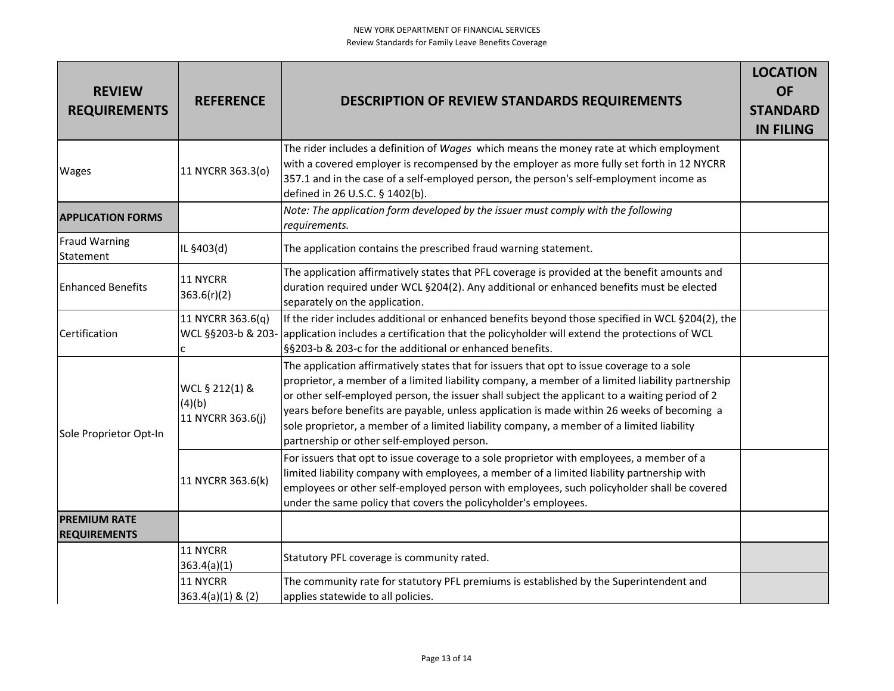| <b>REVIEW</b><br><b>REQUIREMENTS</b>       | <b>REFERENCE</b>                              | <b>DESCRIPTION OF REVIEW STANDARDS REQUIREMENTS</b>                                                                                                                                                                                                                                                                                                                                                                                                                                                                                        | <b>LOCATION</b><br><b>OF</b><br><b>STANDARD</b><br><b>IN FILING</b> |
|--------------------------------------------|-----------------------------------------------|--------------------------------------------------------------------------------------------------------------------------------------------------------------------------------------------------------------------------------------------------------------------------------------------------------------------------------------------------------------------------------------------------------------------------------------------------------------------------------------------------------------------------------------------|---------------------------------------------------------------------|
| Wages                                      | 11 NYCRR 363.3(o)                             | The rider includes a definition of Wages which means the money rate at which employment<br>with a covered employer is recompensed by the employer as more fully set forth in 12 NYCRR<br>357.1 and in the case of a self-employed person, the person's self-employment income as<br>defined in 26 U.S.C. § 1402(b).                                                                                                                                                                                                                        |                                                                     |
| <b>APPLICATION FORMS</b>                   |                                               | Note: The application form developed by the issuer must comply with the following<br>requirements.                                                                                                                                                                                                                                                                                                                                                                                                                                         |                                                                     |
| <b>Fraud Warning</b><br>Statement          | IL §403(d)                                    | The application contains the prescribed fraud warning statement.                                                                                                                                                                                                                                                                                                                                                                                                                                                                           |                                                                     |
| <b>Enhanced Benefits</b>                   | 11 NYCRR<br>363.6(r)(2)                       | The application affirmatively states that PFL coverage is provided at the benefit amounts and<br>duration required under WCL §204(2). Any additional or enhanced benefits must be elected<br>separately on the application.                                                                                                                                                                                                                                                                                                                |                                                                     |
| Certification                              | 11 NYCRR 363.6(q)<br>WCL §§203-b & 203-<br>c  | If the rider includes additional or enhanced benefits beyond those specified in WCL §204(2), the<br>application includes a certification that the policyholder will extend the protections of WCL<br>§§203-b & 203-c for the additional or enhanced benefits.                                                                                                                                                                                                                                                                              |                                                                     |
| Sole Proprietor Opt-In                     | WCL § 212(1) &<br>(4)(b)<br>11 NYCRR 363.6(j) | The application affirmatively states that for issuers that opt to issue coverage to a sole<br>proprietor, a member of a limited liability company, a member of a limited liability partnership<br>or other self-employed person, the issuer shall subject the applicant to a waiting period of 2<br>years before benefits are payable, unless application is made within 26 weeks of becoming a<br>sole proprietor, a member of a limited liability company, a member of a limited liability<br>partnership or other self-employed person. |                                                                     |
|                                            | 11 NYCRR 363.6(k)                             | For issuers that opt to issue coverage to a sole proprietor with employees, a member of a<br>limited liability company with employees, a member of a limited liability partnership with<br>employees or other self-employed person with employees, such policyholder shall be covered<br>under the same policy that covers the policyholder's employees.                                                                                                                                                                                   |                                                                     |
| <b>PREMIUM RATE</b><br><b>REQUIREMENTS</b> |                                               |                                                                                                                                                                                                                                                                                                                                                                                                                                                                                                                                            |                                                                     |
|                                            | 11 NYCRR<br>363.4(a)(1)                       | Statutory PFL coverage is community rated.                                                                                                                                                                                                                                                                                                                                                                                                                                                                                                 |                                                                     |
|                                            | 11 NYCRR<br>$363.4(a)(1)$ & (2)               | The community rate for statutory PFL premiums is established by the Superintendent and<br>applies statewide to all policies.                                                                                                                                                                                                                                                                                                                                                                                                               |                                                                     |